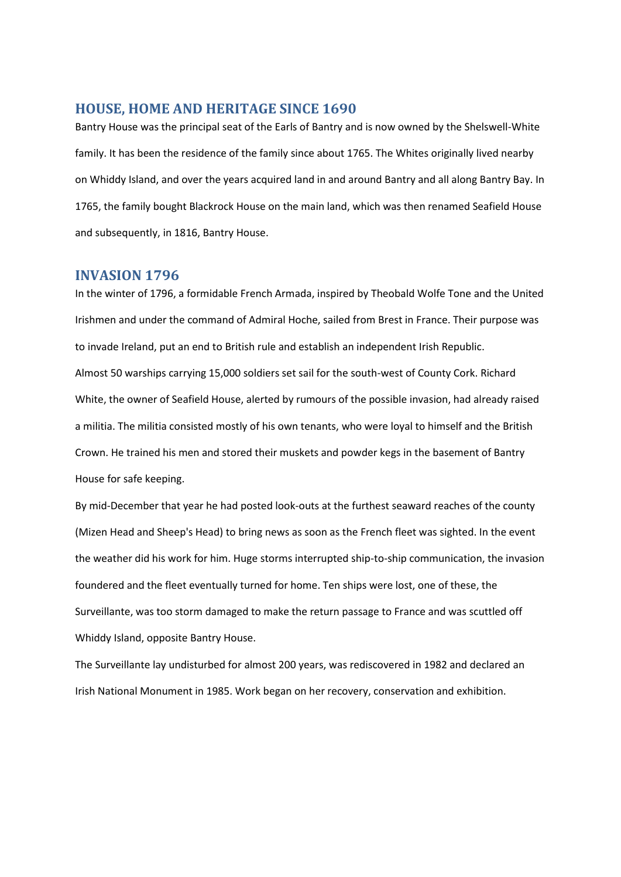## **HOUSE, HOME AND HERITAGE SINCE 1690**

Bantry House was the principal seat of the Earls of Bantry and is now owned by the Shelswell-White family. It has been the residence of the family since about 1765. The Whites originally lived nearby on Whiddy Island, and over the years acquired land in and around Bantry and all along Bantry Bay. In 1765, the family bought Blackrock House on the main land, which was then renamed Seafield House and subsequently, in 1816, Bantry House.

### **INVASION 1796**

In the winter of 1796, a formidable French Armada, inspired by Theobald Wolfe Tone and the United Irishmen and under the command of Admiral Hoche, sailed from Brest in France. Their purpose was to invade Ireland, put an end to British rule and establish an independent Irish Republic. Almost 50 warships carrying 15,000 soldiers set sail for the south-west of County Cork. Richard White, the owner of Seafield House, alerted by rumours of the possible invasion, had already raised a militia. The militia consisted mostly of his own tenants, who were loyal to himself and the British Crown. He trained his men and stored their muskets and powder kegs in the basement of Bantry House for safe keeping.

By mid-December that year he had posted look-outs at the furthest seaward reaches of the county (Mizen Head and Sheep's Head) to bring news as soon as the French fleet was sighted. In the event the weather did his work for him. Huge storms interrupted ship-to-ship communication, the invasion foundered and the fleet eventually turned for home. Ten ships were lost, one of these, the Surveillante, was too storm damaged to make the return passage to France and was scuttled off Whiddy Island, opposite Bantry House.

The Surveillante lay undisturbed for almost 200 years, was rediscovered in 1982 and declared an Irish National Monument in 1985. Work began on her recovery, conservation and exhibition.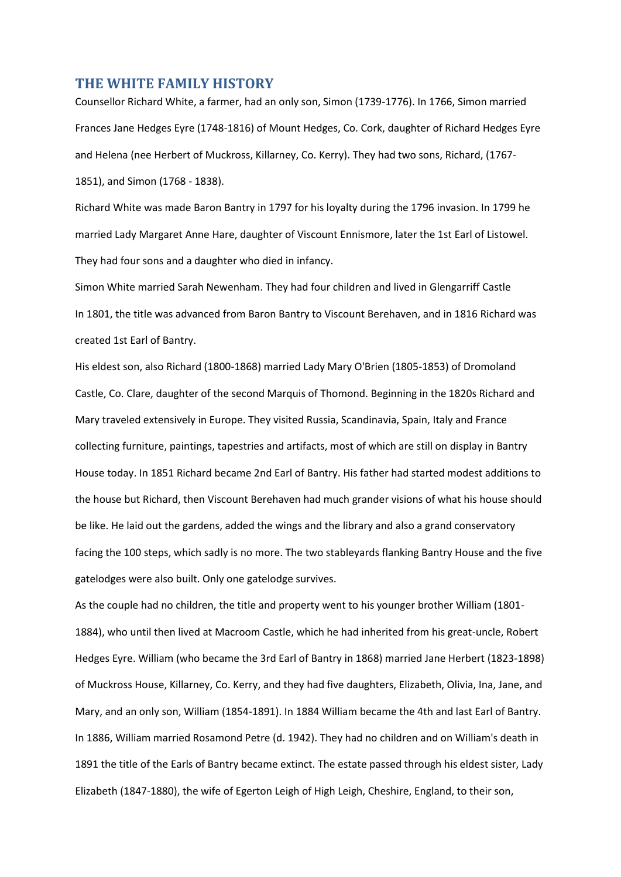#### **THE WHITE FAMILY HISTORY**

Counsellor Richard White, a farmer, had an only son, Simon (1739-1776). In 1766, Simon married Frances Jane Hedges Eyre (1748-1816) of Mount Hedges, Co. Cork, daughter of Richard Hedges Eyre and Helena (nee Herbert of Muckross, Killarney, Co. Kerry). They had two sons, Richard, (1767- 1851), and Simon (1768 - 1838).

Richard White was made Baron Bantry in 1797 for his loyalty during the 1796 invasion. In 1799 he married Lady Margaret Anne Hare, daughter of Viscount Ennismore, later the 1st Earl of Listowel. They had four sons and a daughter who died in infancy.

Simon White married Sarah Newenham. They had four children and lived in Glengarriff Castle In 1801, the title was advanced from Baron Bantry to Viscount Berehaven, and in 1816 Richard was created 1st Earl of Bantry.

His eldest son, also Richard (1800-1868) married Lady Mary O'Brien (1805-1853) of Dromoland Castle, Co. Clare, daughter of the second Marquis of Thomond. Beginning in the 1820s Richard and Mary traveled extensively in Europe. They visited Russia, Scandinavia, Spain, Italy and France collecting furniture, paintings, tapestries and artifacts, most of which are still on display in Bantry House today. In 1851 Richard became 2nd Earl of Bantry. His father had started modest additions to the house but Richard, then Viscount Berehaven had much grander visions of what his house should be like. He laid out the gardens, added the wings and the library and also a grand conservatory facing the 100 steps, which sadly is no more. The two stableyards flanking Bantry House and the five gatelodges were also built. Only one gatelodge survives.

As the couple had no children, the title and property went to his younger brother William (1801- 1884), who until then lived at Macroom Castle, which he had inherited from his great-uncle, Robert Hedges Eyre. William (who became the 3rd Earl of Bantry in 1868) married Jane Herbert (1823-1898) of Muckross House, Killarney, Co. Kerry, and they had five daughters, Elizabeth, Olivia, Ina, Jane, and Mary, and an only son, William (1854-1891). In 1884 William became the 4th and last Earl of Bantry. In 1886, William married Rosamond Petre (d. 1942). They had no children and on William's death in 1891 the title of the Earls of Bantry became extinct. The estate passed through his eldest sister, Lady Elizabeth (1847-1880), the wife of Egerton Leigh of High Leigh, Cheshire, England, to their son,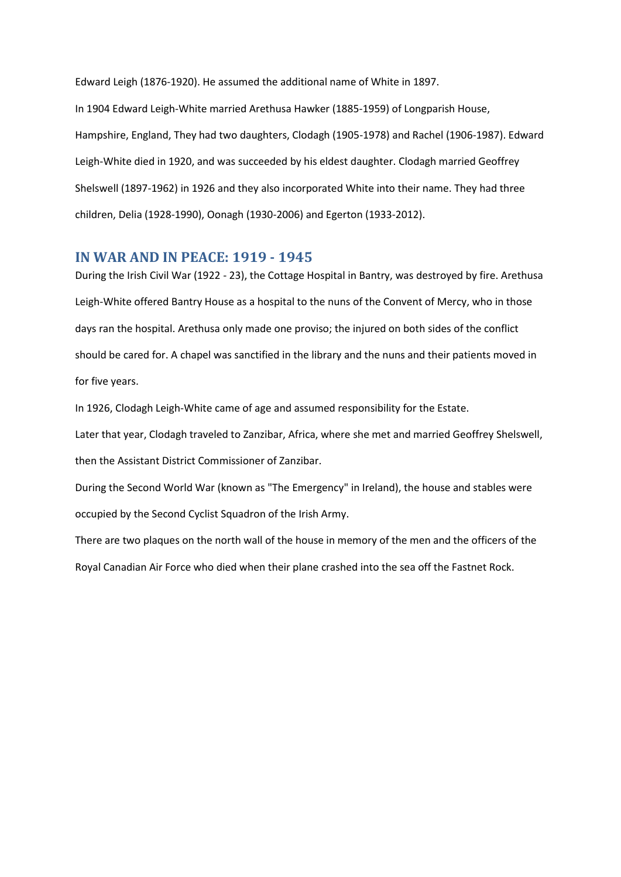Edward Leigh (1876-1920). He assumed the additional name of White in 1897.

In 1904 Edward Leigh-White married Arethusa Hawker (1885-1959) of Longparish House, Hampshire, England, They had two daughters, Clodagh (1905-1978) and Rachel (1906-1987). Edward Leigh-White died in 1920, and was succeeded by his eldest daughter. Clodagh married Geoffrey Shelswell (1897-1962) in 1926 and they also incorporated White into their name. They had three children, Delia (1928-1990), Oonagh (1930-2006) and Egerton (1933-2012).

### **IN WAR AND IN PEACE: 1919 - 1945**

During the Irish Civil War (1922 - 23), the Cottage Hospital in Bantry, was destroyed by fire. Arethusa Leigh-White offered Bantry House as a hospital to the nuns of the Convent of Mercy, who in those days ran the hospital. Arethusa only made one proviso; the injured on both sides of the conflict should be cared for. A chapel was sanctified in the library and the nuns and their patients moved in for five years.

In 1926, Clodagh Leigh-White came of age and assumed responsibility for the Estate.

Later that year, Clodagh traveled to Zanzibar, Africa, where she met and married Geoffrey Shelswell, then the Assistant District Commissioner of Zanzibar.

During the Second World War (known as "The Emergency" in Ireland), the house and stables were occupied by the Second Cyclist Squadron of the Irish Army.

There are two plaques on the north wall of the house in memory of the men and the officers of the Royal Canadian Air Force who died when their plane crashed into the sea off the Fastnet Rock.